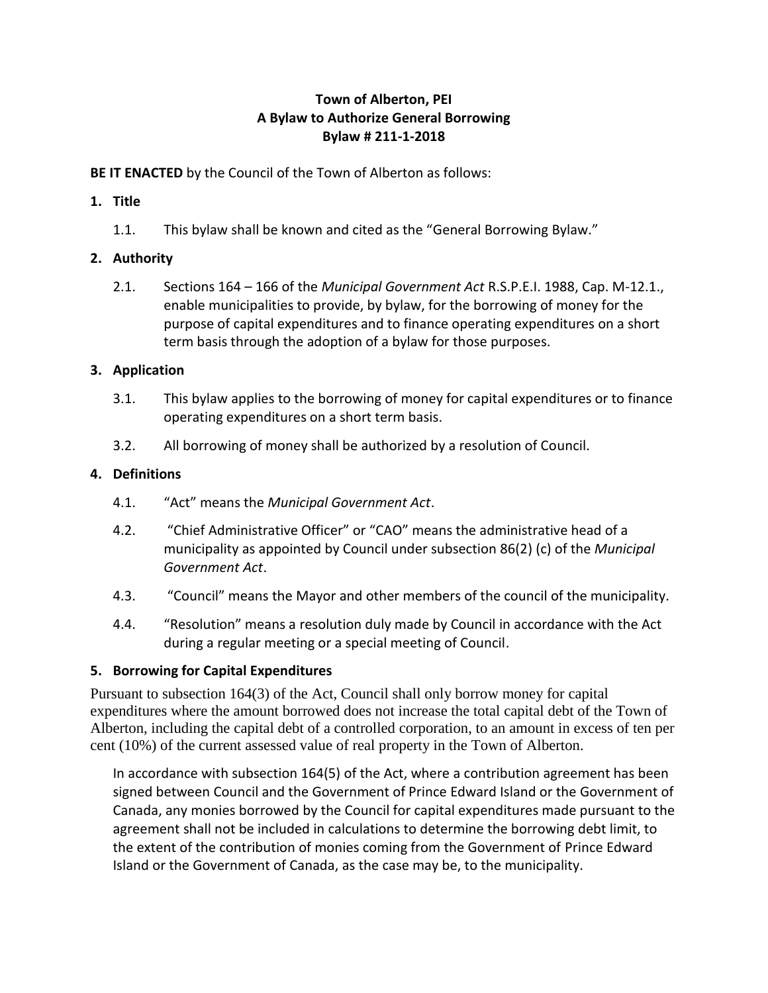### **Town of Alberton, PEI A Bylaw to Authorize General Borrowing Bylaw # 211-1-2018**

**BE IT ENACTED** by the Council of the Town of Alberton as follows:

### **1. Title**

1.1. This bylaw shall be known and cited as the "General Borrowing Bylaw."

# **2. Authority**

2.1. Sections 164 – 166 of the *Municipal Government Act* R.S.P.E.I. 1988, Cap. M-12.1., enable municipalities to provide, by bylaw, for the borrowing of money for the purpose of capital expenditures and to finance operating expenditures on a short term basis through the adoption of a bylaw for those purposes.

### **3. Application**

- 3.1. This bylaw applies to the borrowing of money for capital expenditures or to finance operating expenditures on a short term basis.
- 3.2. All borrowing of money shall be authorized by a resolution of Council.

# **4. Definitions**

- 4.1. "Act" means the *Municipal Government Act*.
- 4.2. "Chief Administrative Officer" or "CAO" means the administrative head of a municipality as appointed by Council under subsection 86(2) (c) of the *Municipal Government Act*.
- 4.3. "Council" means the Mayor and other members of the council of the municipality.
- 4.4. "Resolution" means a resolution duly made by Council in accordance with the Act during a regular meeting or a special meeting of Council.

# **5. Borrowing for Capital Expenditures**

Pursuant to subsection 164(3) of the Act, Council shall only borrow money for capital expenditures where the amount borrowed does not increase the total capital debt of the Town of Alberton, including the capital debt of a controlled corporation, to an amount in excess of ten per cent (10%) of the current assessed value of real property in the Town of Alberton.

In accordance with subsection 164(5) of the Act, where a contribution agreement has been signed between Council and the Government of Prince Edward Island or the Government of Canada, any monies borrowed by the Council for capital expenditures made pursuant to the agreement shall not be included in calculations to determine the borrowing debt limit, to the extent of the contribution of monies coming from the Government of Prince Edward Island or the Government of Canada, as the case may be, to the municipality.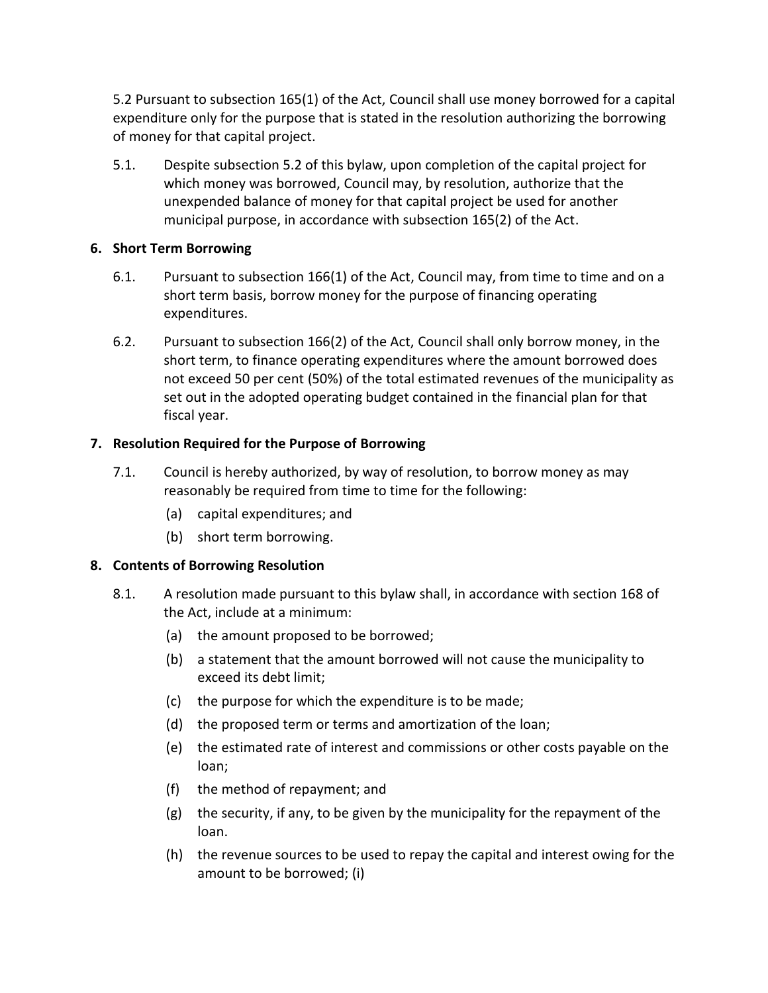5.2 Pursuant to subsection 165(1) of the Act, Council shall use money borrowed for a capital expenditure only for the purpose that is stated in the resolution authorizing the borrowing of money for that capital project.

5.1. Despite subsection 5.2 of this bylaw, upon completion of the capital project for which money was borrowed, Council may, by resolution, authorize that the unexpended balance of money for that capital project be used for another municipal purpose, in accordance with subsection 165(2) of the Act.

#### **6. Short Term Borrowing**

- 6.1. Pursuant to subsection 166(1) of the Act, Council may, from time to time and on a short term basis, borrow money for the purpose of financing operating expenditures.
- 6.2. Pursuant to subsection 166(2) of the Act, Council shall only borrow money, in the short term, to finance operating expenditures where the amount borrowed does not exceed 50 per cent (50%) of the total estimated revenues of the municipality as set out in the adopted operating budget contained in the financial plan for that fiscal year.

#### **7. Resolution Required for the Purpose of Borrowing**

- 7.1. Council is hereby authorized, by way of resolution, to borrow money as may reasonably be required from time to time for the following:
	- (a) capital expenditures; and
	- (b) short term borrowing.

#### **8. Contents of Borrowing Resolution**

- 8.1. A resolution made pursuant to this bylaw shall, in accordance with section 168 of the Act, include at a minimum:
	- (a) the amount proposed to be borrowed;
	- (b) a statement that the amount borrowed will not cause the municipality to exceed its debt limit;
	- (c) the purpose for which the expenditure is to be made;
	- (d) the proposed term or terms and amortization of the loan;
	- (e) the estimated rate of interest and commissions or other costs payable on the loan;
	- (f) the method of repayment; and
	- (g) the security, if any, to be given by the municipality for the repayment of the loan.
	- (h) the revenue sources to be used to repay the capital and interest owing for the amount to be borrowed; (i)